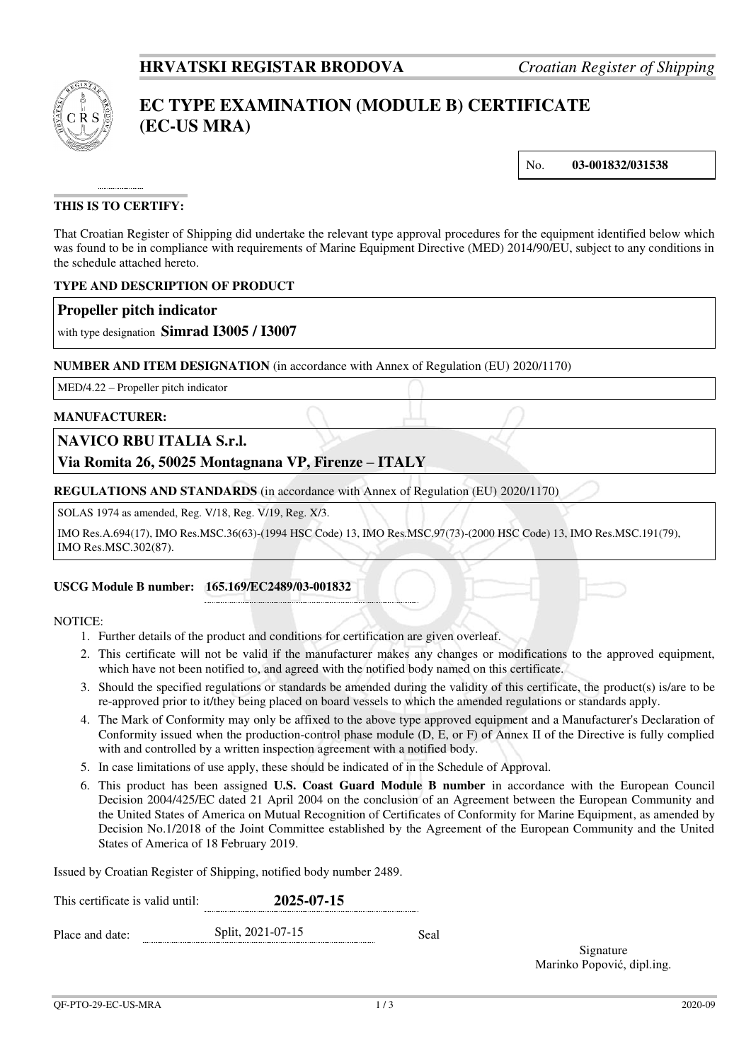

# **EC TYPE EXAMINATION (MODULE B) CERTIFICATE (EC-US MRA)**

No. **03-001832/031538**

## **THIS IS TO CERTIFY:**

That Croatian Register of Shipping did undertake the relevant type approval procedures for the equipment identified below which was found to be in compliance with requirements of Marine Equipment Directive (MED) 2014/90/EU, subject to any conditions in the schedule attached hereto.

### **TYPE AND DESCRIPTION OF PRODUCT**

## **Propeller pitch indicator**

with type designation **Simrad I3005 / I3007**

#### **NUMBER AND ITEM DESIGNATION** (in accordance with Annex of Regulation (EU) 2020/1170)

MED/4.22 – Propeller pitch indicator

#### **MANUFACTURER:**

## **NAVICO RBU ITALIA S.r.l.**

## **Via Romita 26, 50025 Montagnana VP, Firenze – ITALY**

**REGULATIONS AND STANDARDS** (in accordance with Annex of Regulation (EU) 2020/1170)

SOLAS 1974 as amended, Reg. V/18, Reg. V/19, Reg. X/3.

IMO Res.A.694(17), IMO Res.MSC.36(63)-(1994 HSC Code) 13, IMO Res.MSC.97(73)-(2000 HSC Code) 13, IMO Res.MSC.191(79), IMO Res.MSC.302(87).

#### **USCG Module B number: 165.169/EC2489/03-001832**

#### NOTICE:

- 1. Further details of the product and conditions for certification are given overleaf.
- 2. This certificate will not be valid if the manufacturer makes any changes or modifications to the approved equipment, which have not been notified to, and agreed with the notified body named on this certificate.
- 3. Should the specified regulations or standards be amended during the validity of this certificate, the product(s) is/are to be re-approved prior to it/they being placed on board vessels to which the amended regulations or standards apply.
- 4. The Mark of Conformity may only be affixed to the above type approved equipment and a Manufacturer's Declaration of Conformity issued when the production-control phase module (D, E, or F) of Annex II of the Directive is fully complied with and controlled by a written inspection agreement with a notified body.
- 5. In case limitations of use apply, these should be indicated of in the Schedule of Approval.
- 6. This product has been assigned **U.S. Coast Guard Module B number** in accordance with the European Council Decision 2004/425/EC dated 21 April 2004 on the conclusion of an Agreement between the European Community and the United States of America on Mutual Recognition of Certificates of Conformity for Marine Equipment, as amended by Decision No.1/2018 of the Joint Committee established by the Agreement of the European Community and the United States of America of 18 February 2019.

Issued by Croatian Register of Shipping, notified body number 2489.

| This certificate is valid until: | 2025-07-15        |      |  |  |
|----------------------------------|-------------------|------|--|--|
| Place and date:                  | Split, 2021-07-15 | Seal |  |  |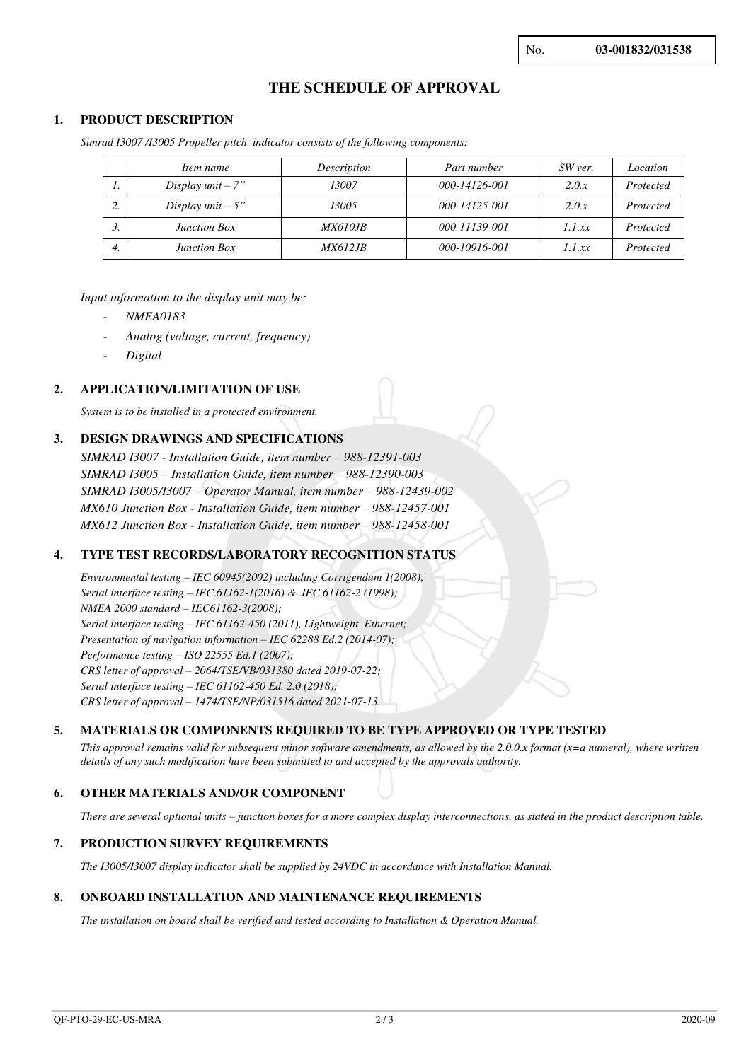## **THE SCHEDULE OF APPROVAL**

#### **1. PRODUCT DESCRIPTION**

*Simrad I3007 /I3005 Propeller pitch indicator consists of the following components:* 

|         | Item name            | Description     | Part number   | SW ver. | Location  |
|---------|----------------------|-----------------|---------------|---------|-----------|
| . .     | Display $unit - 7"$  | 13007           | 000-14126-001 | 2.0.x   | Protected |
| ◠<br>۷. | Display $unit - 5$ " | 13005           | 000-14125-001 | 2.0.x   | Protected |
| J.      | <b>Junction Box</b>  | <i>MX610JB</i>  | 000-11139-001 | 1.1 xx  | Protected |
| 4.      | <b>Junction Box</b>  | <i>MX612.IB</i> | 000-10916-001 | 1.1 xx  | Protected |

#### *Input information to the display unit may be:*

- *NMEA0183*
- *Analog (voltage, current, frequency)*
- *Digital*

#### **2. APPLICATION/LIMITATION OF USE**

*System is to be installed in a protected environment.*

#### **3. DESIGN DRAWINGS AND SPECIFICATIONS**

*SIMRAD I3007 - Installation Guide, item number – 988-12391-003 SIMRAD I3005 – Installation Guide, item number – 988-12390-003 SIMRAD I3005/I3007 – Operator Manual, item number – 988-12439-002 MX610 Junction Box - Installation Guide, item number – 988-12457-001 MX612 Junction Box - Installation Guide, item number – 988-12458-001* 

#### **4. TYPE TEST RECORDS/LABORATORY RECOGNITION STATUS**

*Environmental testing – IEC 60945(2002) including Corrigendum 1(2008); Serial interface testing – IEC 61162-1(2016) & IEC 61162-2 (1998); NMEA 2000 standard – IEC61162-3(2008); Serial interface testing – IEC 61162-450 (2011), Lightweight Ethernet; Presentation of navigation information – IEC 62288 Ed.2 (2014-07); Performance testing – ISO 22555 Ed.1 (2007); CRS letter of approval – 2064/TSE/VB/031380 dated 2019-07-22; Serial interface testing – IEC 61162-450 Ed. 2.0 (2018); CRS letter of approval – 1474/TSE/NP/031516 dated 2021-07-13.*

#### **5. MATERIALS OR COMPONENTS REQUIRED TO BE TYPE APPROVED OR TYPE TESTED**

*This approval remains valid for subsequent minor software amendments, as allowed by the 2.0.0.x format (x=a numeral), where written details of any such modification have been submitted to and accepted by the approvals authority.*

#### **6. OTHER MATERIALS AND/OR COMPONENT**

*There are several optional units – junction boxes for a more complex display interconnections, as stated in the product description table.* 

#### **7. PRODUCTION SURVEY REQUIREMENTS**

*The I3005/I3007 display indicator shall be supplied by 24VDC in accordance with Installation Manual.* 

#### **8. ONBOARD INSTALLATION AND MAINTENANCE REQUIREMENTS**

*The installation on board shall be verified and tested according to Installation & Operation Manual.*